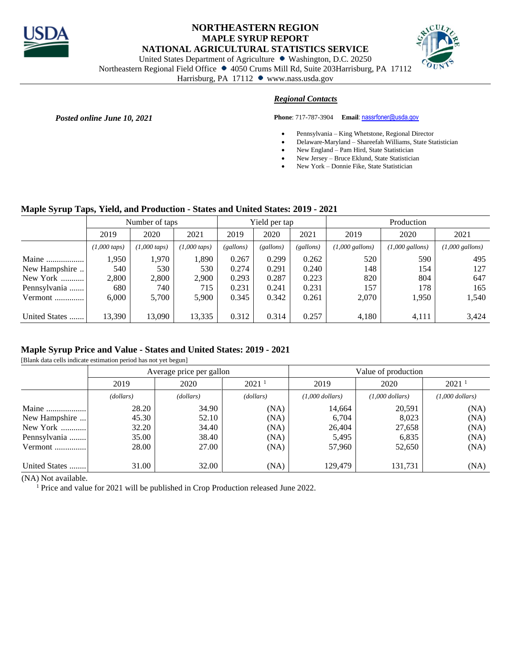

## **NORTHEASTERN REGION MAPLE SYRUP REPORT NATIONAL AGRICULTURAL STATISTICS SERVICE**



United States Department of Agriculture • Washington, D.C. 20250

Northeastern Regional Field Office • 4050 Crums Mill Rd, Suite 203Harrisburg, PA 17112

Harrisburg, PA 17112 www.nass.usda.gov

## *Regional Contacts*

**Posted online June 10, 2021 Phone**: 717-787-3904 **Email**[: nassrfoner@usda.gov](mailto:nassrfoner@usda.gov)

- Pennsylvania King Whetstone, Regional Director
- Delaware-Maryland Shareefah Williams, State Statistician
- New England Pam Hird, State Statistician
- New Jersey Bruce Eklund, State Statistician
- New York Donnie Fike, State Statistician

#### **Maple Syrup Taps, Yield, and Production - States and United States: 2019 - 2021**

|               | Number of taps           |                          |                          | Yield per tap |           |           | Production                |                           |                           |
|---------------|--------------------------|--------------------------|--------------------------|---------------|-----------|-----------|---------------------------|---------------------------|---------------------------|
|               | 2019                     | 2020                     | 2021                     | 2019          | 2020      | 2021      | 2019                      | 2020                      | 2021                      |
|               | $(1,000 \, \text{taps})$ | $(1,000 \, \text{taps})$ | $(1,000 \, \text{taps})$ | (gallons)     | (gallons) | (gallons) | $(1,000 \text{ gallons})$ | $(1,000 \text{ gallons})$ | $(1,000 \text{ gallons})$ |
| Maine         | 1,950                    | 1,970                    | 1,890                    | 0.267         | 0.299     | 0.262     | 520                       | 590                       | 495                       |
| New Hampshire | 540                      | 530                      | 530                      | 0.274         | 0.291     | 0.240     | 148                       | 154                       | 127                       |
| New York      | 2,800                    | 2,800                    | 2,900                    | 0.293         | 0.287     | 0.223     | 820                       | 804                       | 647                       |
| Pennsylvania  | 680                      | 740                      | 715                      | 0.231         | 0.241     | 0.231     | 157                       | 178                       | 165                       |
| Vermont       | 6.000                    | 5,700                    | 5,900                    | 0.345         | 0.342     | 0.261     | 2,070                     | 1,950                     | 1,540                     |
|               |                          |                          |                          |               |           |           |                           |                           |                           |
| United States | 13,390                   | 13,090                   | 13,335                   | 0.312         | 0.314     | 0.257     | 4,180                     | 4,111                     | 3,424                     |

#### **Maple Syrup Price and Value - States and United States: 2019 - 2021**

[Blank data cells indicate estimation period has not yet begun]

|               |           | Average price per gallon |                   | Value of production |                   |                   |  |
|---------------|-----------|--------------------------|-------------------|---------------------|-------------------|-------------------|--|
|               | 2019      | 2020                     | 2021 <sup>1</sup> | 2019                | 2020              | 2021 <sup>1</sup> |  |
|               | (dollars) | (dollars)                | (dollars)         | $(1,000$ dollars)   | $(1,000$ dollars) | $(1,000$ dollars) |  |
| Maine         | 28.20     | 34.90                    | (NA)              | 14,664              | 20,591            | (NA)              |  |
| New Hampshire | 45.30     | 52.10                    | (NA)              | 6,704               | 8,023             | (NA)              |  |
| New York      | 32.20     | 34.40                    | (NA)              | 26,404              | 27,658            | (NA)              |  |
| Pennsylvania  | 35.00     | 38.40                    | (NA)              | 5,495               | 6,835             | (NA)              |  |
| Vermont       | 28.00     | 27.00                    | (NA)              | 57.960              | 52,650            | (NA)              |  |
| United States | 31.00     | 32.00                    | (NA)              | 129,479             | 131,731           | (NA)              |  |

(NA) Not available.

<sup>1</sup> Price and value for 2021 will be published in Crop Production released June 2022.